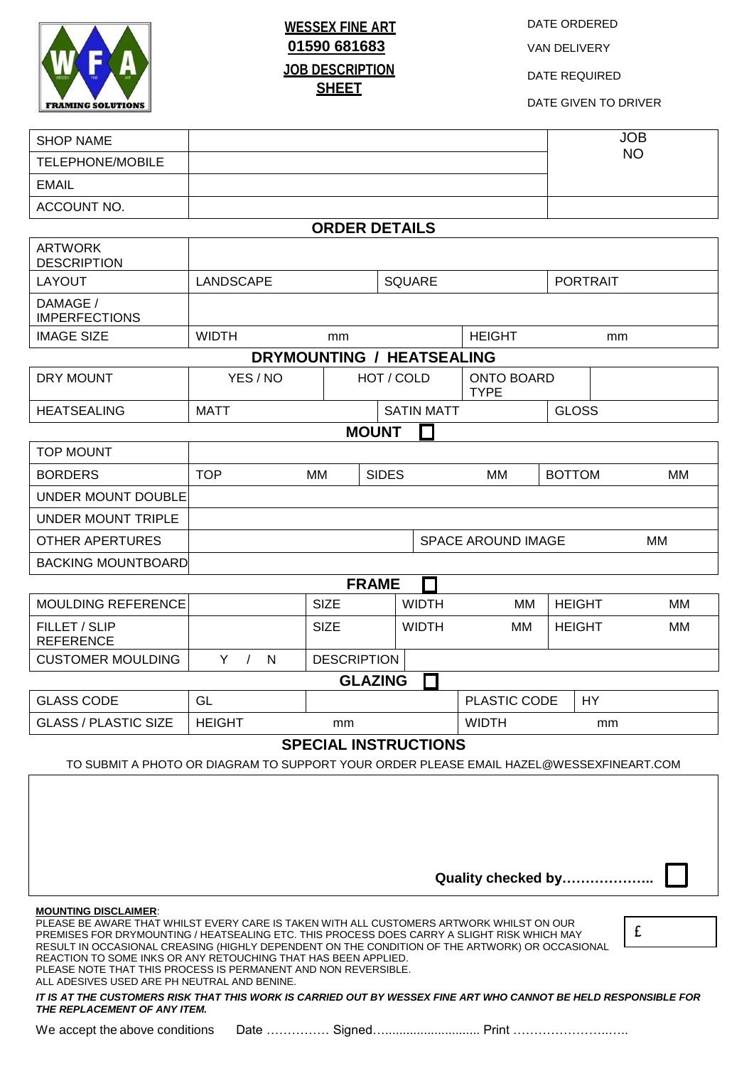

## **WESSEX FINE ART 01590 681683 JOB DESCRIPTION SHEET**

DATE ORDERED

VAN DELIVERY

DATE REQUIRED

DATE GIVEN TO DRIVER

| <b>SHOP NAME</b>                                                                                                                                                                                                                                                                                                                                                                                                                                                                                                                                                                                                                                                                                                             |                                          |                   |              |                     |                                  |               | <b>JOB</b> |  |
|------------------------------------------------------------------------------------------------------------------------------------------------------------------------------------------------------------------------------------------------------------------------------------------------------------------------------------------------------------------------------------------------------------------------------------------------------------------------------------------------------------------------------------------------------------------------------------------------------------------------------------------------------------------------------------------------------------------------------|------------------------------------------|-------------------|--------------|---------------------|----------------------------------|---------------|------------|--|
| <b>TELEPHONE/MOBILE</b>                                                                                                                                                                                                                                                                                                                                                                                                                                                                                                                                                                                                                                                                                                      |                                          |                   |              |                     |                                  |               | <b>NO</b>  |  |
| <b>EMAIL</b>                                                                                                                                                                                                                                                                                                                                                                                                                                                                                                                                                                                                                                                                                                                 |                                          |                   |              |                     |                                  |               |            |  |
| ACCOUNT NO.                                                                                                                                                                                                                                                                                                                                                                                                                                                                                                                                                                                                                                                                                                                  |                                          |                   |              |                     |                                  |               |            |  |
| <b>ORDER DETAILS</b>                                                                                                                                                                                                                                                                                                                                                                                                                                                                                                                                                                                                                                                                                                         |                                          |                   |              |                     |                                  |               |            |  |
| <b>ARTWORK</b><br><b>DESCRIPTION</b>                                                                                                                                                                                                                                                                                                                                                                                                                                                                                                                                                                                                                                                                                         |                                          |                   |              |                     |                                  |               |            |  |
| <b>LAYOUT</b>                                                                                                                                                                                                                                                                                                                                                                                                                                                                                                                                                                                                                                                                                                                | <b>SQUARE</b><br><b>LANDSCAPE</b>        |                   |              | <b>PORTRAIT</b>     |                                  |               |            |  |
| DAMAGE /<br><b>IMPERFECTIONS</b>                                                                                                                                                                                                                                                                                                                                                                                                                                                                                                                                                                                                                                                                                             |                                          |                   |              |                     |                                  |               |            |  |
| <b>IMAGE SIZE</b>                                                                                                                                                                                                                                                                                                                                                                                                                                                                                                                                                                                                                                                                                                            | <b>WIDTH</b><br>mm                       |                   |              | <b>HEIGHT</b><br>mm |                                  |               |            |  |
| <b>DRYMOUNTING / HEATSEALING</b>                                                                                                                                                                                                                                                                                                                                                                                                                                                                                                                                                                                                                                                                                             |                                          |                   |              |                     |                                  |               |            |  |
| DRY MOUNT                                                                                                                                                                                                                                                                                                                                                                                                                                                                                                                                                                                                                                                                                                                    | YES / NO                                 | HOT / COLD        |              |                     | <b>ONTO BOARD</b><br><b>TYPE</b> |               |            |  |
| <b>HEATSEALING</b>                                                                                                                                                                                                                                                                                                                                                                                                                                                                                                                                                                                                                                                                                                           | <b>MATT</b>                              | <b>SATIN MATT</b> |              |                     |                                  | <b>GLOSS</b>  |            |  |
| <b>MOUNT</b>                                                                                                                                                                                                                                                                                                                                                                                                                                                                                                                                                                                                                                                                                                                 |                                          |                   |              |                     |                                  |               |            |  |
| <b>TOP MOUNT</b>                                                                                                                                                                                                                                                                                                                                                                                                                                                                                                                                                                                                                                                                                                             |                                          |                   |              |                     |                                  |               |            |  |
| <b>BORDERS</b>                                                                                                                                                                                                                                                                                                                                                                                                                                                                                                                                                                                                                                                                                                               | <b>TOP</b>                               | MМ                | <b>SIDES</b> |                     | МM                               | <b>BOTTOM</b> | МM         |  |
| UNDER MOUNT DOUBLE                                                                                                                                                                                                                                                                                                                                                                                                                                                                                                                                                                                                                                                                                                           |                                          |                   |              |                     |                                  |               |            |  |
| UNDER MOUNT TRIPLE                                                                                                                                                                                                                                                                                                                                                                                                                                                                                                                                                                                                                                                                                                           |                                          |                   |              |                     |                                  |               |            |  |
| <b>OTHER APERTURES</b>                                                                                                                                                                                                                                                                                                                                                                                                                                                                                                                                                                                                                                                                                                       | <b>SPACE AROUND IMAGE</b><br>MМ          |                   |              |                     |                                  |               |            |  |
| <b>BACKING MOUNTBOARD</b>                                                                                                                                                                                                                                                                                                                                                                                                                                                                                                                                                                                                                                                                                                    |                                          |                   |              |                     |                                  |               |            |  |
|                                                                                                                                                                                                                                                                                                                                                                                                                                                                                                                                                                                                                                                                                                                              | <b>FRAME</b>                             |                   |              |                     |                                  |               |            |  |
| MOULDING REFERENCE                                                                                                                                                                                                                                                                                                                                                                                                                                                                                                                                                                                                                                                                                                           |                                          | <b>SIZE</b>       |              | <b>WIDTH</b>        | <b>MM</b>                        | <b>HEIGHT</b> | MМ         |  |
| FILLET / SLIP<br><b>REFERENCE</b>                                                                                                                                                                                                                                                                                                                                                                                                                                                                                                                                                                                                                                                                                            |                                          | <b>SIZE</b>       |              | <b>WIDTH</b>        | MМ                               | <b>HEIGHT</b> | MМ         |  |
| <b>CUSTOMER MOULDING</b>                                                                                                                                                                                                                                                                                                                                                                                                                                                                                                                                                                                                                                                                                                     | Y<br>N<br><b>DESCRIPTION</b><br>$\prime$ |                   |              |                     |                                  |               |            |  |
| <b>GLAZING</b>                                                                                                                                                                                                                                                                                                                                                                                                                                                                                                                                                                                                                                                                                                               |                                          |                   |              |                     |                                  |               |            |  |
| <b>GLASS CODE</b>                                                                                                                                                                                                                                                                                                                                                                                                                                                                                                                                                                                                                                                                                                            | GL                                       |                   |              |                     | PLASTIC CODE                     | <b>HY</b>     |            |  |
| <b>GLASS / PLASTIC SIZE</b>                                                                                                                                                                                                                                                                                                                                                                                                                                                                                                                                                                                                                                                                                                  | <b>HEIGHT</b><br>mm                      |                   |              |                     | <b>WIDTH</b>                     | mm            |            |  |
| <b>SPECIAL INSTRUCTIONS</b>                                                                                                                                                                                                                                                                                                                                                                                                                                                                                                                                                                                                                                                                                                  |                                          |                   |              |                     |                                  |               |            |  |
| TO SUBMIT A PHOTO OR DIAGRAM TO SUPPORT YOUR ORDER PLEASE EMAIL HAZEL@WESSEXFINEART.COM                                                                                                                                                                                                                                                                                                                                                                                                                                                                                                                                                                                                                                      |                                          |                   |              |                     |                                  |               |            |  |
| Quality checked by                                                                                                                                                                                                                                                                                                                                                                                                                                                                                                                                                                                                                                                                                                           |                                          |                   |              |                     |                                  |               |            |  |
| <b>MOUNTING DISCLAIMER:</b><br>PLEASE BE AWARE THAT WHILST EVERY CARE IS TAKEN WITH ALL CUSTOMERS ARTWORK WHILST ON OUR<br>£<br>PREMISES FOR DRYMOUNTING / HEATSEALING ETC. THIS PROCESS DOES CARRY A SLIGHT RISK WHICH MAY<br>RESULT IN OCCASIONAL CREASING (HIGHLY DEPENDENT ON THE CONDITION OF THE ARTWORK) OR OCCASIONAL<br>REACTION TO SOME INKS OR ANY RETOUCHING THAT HAS BEEN APPLIED.<br>PLEASE NOTE THAT THIS PROCESS IS PERMANENT AND NON REVERSIBLE.<br>ALL ADESIVES USED ARE PH NEUTRAL AND BENINE.<br>IT IS AT THE CUSTOMERS RISK THAT THIS WORK IS CARRIED OUT BY WESSEX FINE ART WHO CANNOT BE HELD RESPONSIBLE FOR<br>THE REPLACEMENT OF ANY ITEM.<br>Date  Signed Print<br>We accept the above conditions |                                          |                   |              |                     |                                  |               |            |  |
|                                                                                                                                                                                                                                                                                                                                                                                                                                                                                                                                                                                                                                                                                                                              |                                          |                   |              |                     |                                  |               |            |  |